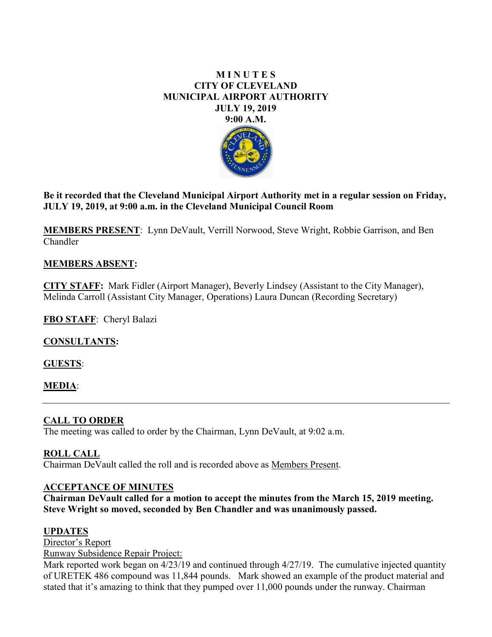### **M I N U T E S CITY OF CLEVELAND MUNICIPAL AIRPORT AUTHORITY JULY 19, 2019 9:00 A.M.**



**Be it recorded that the Cleveland Municipal Airport Authority met in a regular session on Friday, JULY 19, 2019, at 9:00 a.m. in the Cleveland Municipal Council Room**

**MEMBERS PRESENT**: Lynn DeVault, Verrill Norwood, Steve Wright, Robbie Garrison, and Ben Chandler

## **MEMBERS ABSENT:**

**CITY STAFF:** Mark Fidler (Airport Manager), Beverly Lindsey (Assistant to the City Manager), Melinda Carroll (Assistant City Manager, Operations) Laura Duncan (Recording Secretary)

**FBO STAFF**: Cheryl Balazi

**CONSULTANTS:**

**GUESTS**:

**MEDIA**:

## **CALL TO ORDER**

The meeting was called to order by the Chairman, Lynn DeVault, at 9:02 a.m.

## **ROLL CALL**

Chairman DeVault called the roll and is recorded above as Members Present.

## **ACCEPTANCE OF MINUTES**

**Chairman DeVault called for a motion to accept the minutes from the March 15, 2019 meeting. Steve Wright so moved, seconded by Ben Chandler and was unanimously passed.** 

## **UPDATES**

Director's Report

Runway Subsidence Repair Project:

Mark reported work began on 4/23/19 and continued through 4/27/19. The cumulative injected quantity of URETEK 486 compound was 11,844 pounds. Mark showed an example of the product material and stated that it's amazing to think that they pumped over 11,000 pounds under the runway. Chairman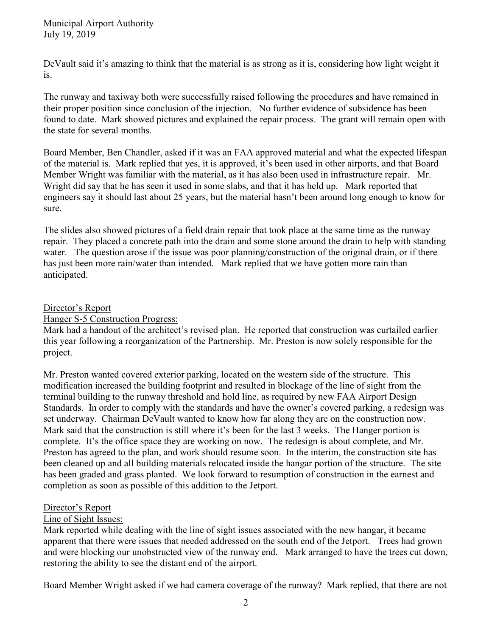DeVault said it's amazing to think that the material is as strong as it is, considering how light weight it is.

The runway and taxiway both were successfully raised following the procedures and have remained in their proper position since conclusion of the injection. No further evidence of subsidence has been found to date. Mark showed pictures and explained the repair process. The grant will remain open with the state for several months.

Board Member, Ben Chandler, asked if it was an FAA approved material and what the expected lifespan of the material is. Mark replied that yes, it is approved, it's been used in other airports, and that Board Member Wright was familiar with the material, as it has also been used in infrastructure repair. Mr. Wright did say that he has seen it used in some slabs, and that it has held up. Mark reported that engineers say it should last about 25 years, but the material hasn't been around long enough to know for sure.

The slides also showed pictures of a field drain repair that took place at the same time as the runway repair. They placed a concrete path into the drain and some stone around the drain to help with standing water. The question arose if the issue was poor planning/construction of the original drain, or if there has just been more rain/water than intended. Mark replied that we have gotten more rain than anticipated.

#### Director's Report

Hanger S-5 Construction Progress:

Mark had a handout of the architect's revised plan. He reported that construction was curtailed earlier this year following a reorganization of the Partnership. Mr. Preston is now solely responsible for the project.

Mr. Preston wanted covered exterior parking, located on the western side of the structure. This modification increased the building footprint and resulted in blockage of the line of sight from the terminal building to the runway threshold and hold line, as required by new FAA Airport Design Standards. In order to comply with the standards and have the owner's covered parking, a redesign was set underway. Chairman DeVault wanted to know how far along they are on the construction now. Mark said that the construction is still where it's been for the last 3 weeks. The Hanger portion is complete. It's the office space they are working on now. The redesign is about complete, and Mr. Preston has agreed to the plan, and work should resume soon. In the interim, the construction site has been cleaned up and all building materials relocated inside the hangar portion of the structure. The site has been graded and grass planted. We look forward to resumption of construction in the earnest and completion as soon as possible of this addition to the Jetport.

#### Director's Report

#### Line of Sight Issues:

Mark reported while dealing with the line of sight issues associated with the new hangar, it became apparent that there were issues that needed addressed on the south end of the Jetport. Trees had grown and were blocking our unobstructed view of the runway end. Mark arranged to have the trees cut down, restoring the ability to see the distant end of the airport.

Board Member Wright asked if we had camera coverage of the runway? Mark replied, that there are not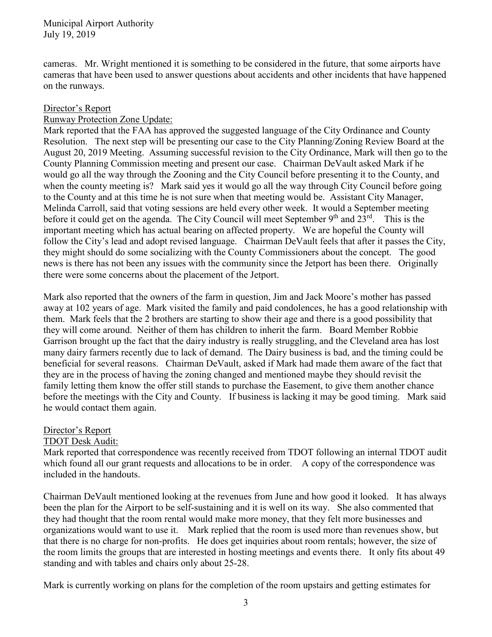cameras. Mr. Wright mentioned it is something to be considered in the future, that some airports have cameras that have been used to answer questions about accidents and other incidents that have happened on the runways.

#### Director's Report

#### Runway Protection Zone Update:

Mark reported that the FAA has approved the suggested language of the City Ordinance and County Resolution. The next step will be presenting our case to the City Planning/Zoning Review Board at the August 20, 2019 Meeting. Assuming successful revision to the City Ordinance, Mark will then go to the County Planning Commission meeting and present our case. Chairman DeVault asked Mark if he would go all the way through the Zooning and the City Council before presenting it to the County, and when the county meeting is? Mark said yes it would go all the way through City Council before going to the County and at this time he is not sure when that meeting would be. Assistant City Manager, Melinda Carroll, said that voting sessions are held every other week. It would a September meeting before it could get on the agenda. The City Council will meet September  $9<sup>th</sup>$  and  $23<sup>rd</sup>$ . This is the important meeting which has actual bearing on affected property. We are hopeful the County will follow the City's lead and adopt revised language. Chairman DeVault feels that after it passes the City, they might should do some socializing with the County Commissioners about the concept. The good news is there has not been any issues with the community since the Jetport has been there. Originally there were some concerns about the placement of the Jetport.

Mark also reported that the owners of the farm in question, Jim and Jack Moore's mother has passed away at 102 years of age. Mark visited the family and paid condolences, he has a good relationship with them. Mark feels that the 2 brothers are starting to show their age and there is a good possibility that they will come around. Neither of them has children to inherit the farm. Board Member Robbie Garrison brought up the fact that the dairy industry is really struggling, and the Cleveland area has lost many dairy farmers recently due to lack of demand. The Dairy business is bad, and the timing could be beneficial for several reasons. Chairman DeVault, asked if Mark had made them aware of the fact that they are in the process of having the zoning changed and mentioned maybe they should revisit the family letting them know the offer still stands to purchase the Easement, to give them another chance before the meetings with the City and County. If business is lacking it may be good timing. Mark said he would contact them again.

#### Director's Report

#### TDOT Desk Audit:

Mark reported that correspondence was recently received from TDOT following an internal TDOT audit which found all our grant requests and allocations to be in order. A copy of the correspondence was included in the handouts.

Chairman DeVault mentioned looking at the revenues from June and how good it looked. It has always been the plan for the Airport to be self-sustaining and it is well on its way. She also commented that they had thought that the room rental would make more money, that they felt more businesses and organizations would want to use it. Mark replied that the room is used more than revenues show, but that there is no charge for non-profits. He does get inquiries about room rentals; however, the size of the room limits the groups that are interested in hosting meetings and events there. It only fits about 49 standing and with tables and chairs only about 25-28.

Mark is currently working on plans for the completion of the room upstairs and getting estimates for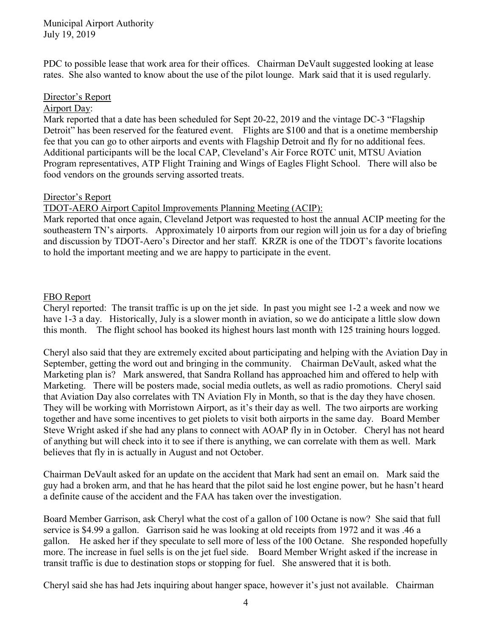PDC to possible lease that work area for their offices. Chairman DeVault suggested looking at lease rates. She also wanted to know about the use of the pilot lounge. Mark said that it is used regularly.

### Director's Report

#### Airport Day:

Mark reported that a date has been scheduled for Sept 20-22, 2019 and the vintage DC-3 "Flagship Detroit" has been reserved for the featured event. Flights are \$100 and that is a onetime membership fee that you can go to other airports and events with Flagship Detroit and fly for no additional fees. Additional participants will be the local CAP, Cleveland's Air Force ROTC unit, MTSU Aviation Program representatives, ATP Flight Training and Wings of Eagles Flight School. There will also be food vendors on the grounds serving assorted treats.

### Director's Report

TDOT-AERO Airport Capitol Improvements Planning Meeting (ACIP):

Mark reported that once again, Cleveland Jetport was requested to host the annual ACIP meeting for the southeastern TN's airports. Approximately 10 airports from our region will join us for a day of briefing and discussion by TDOT-Aero's Director and her staff. KRZR is one of the TDOT's favorite locations to hold the important meeting and we are happy to participate in the event.

### FBO Report

Cheryl reported: The transit traffic is up on the jet side. In past you might see 1-2 a week and now we have 1-3 a day. Historically, July is a slower month in aviation, so we do anticipate a little slow down this month. The flight school has booked its highest hours last month with 125 training hours logged.

Cheryl also said that they are extremely excited about participating and helping with the Aviation Day in September, getting the word out and bringing in the community. Chairman DeVault, asked what the Marketing plan is? Mark answered, that Sandra Rolland has approached him and offered to help with Marketing. There will be posters made, social media outlets, as well as radio promotions. Cheryl said that Aviation Day also correlates with TN Aviation Fly in Month, so that is the day they have chosen. They will be working with Morristown Airport, as it's their day as well. The two airports are working together and have some incentives to get piolets to visit both airports in the same day. Board Member Steve Wright asked if she had any plans to connect with AOAP fly in in October. Cheryl has not heard of anything but will check into it to see if there is anything, we can correlate with them as well. Mark believes that fly in is actually in August and not October.

Chairman DeVault asked for an update on the accident that Mark had sent an email on. Mark said the guy had a broken arm, and that he has heard that the pilot said he lost engine power, but he hasn't heard a definite cause of the accident and the FAA has taken over the investigation.

Board Member Garrison, ask Cheryl what the cost of a gallon of 100 Octane is now? She said that full service is \$4.99 a gallon. Garrison said he was looking at old receipts from 1972 and it was .46 a gallon. He asked her if they speculate to sell more of less of the 100 Octane. She responded hopefully more. The increase in fuel sells is on the jet fuel side. Board Member Wright asked if the increase in transit traffic is due to destination stops or stopping for fuel. She answered that it is both.

Cheryl said she has had Jets inquiring about hanger space, however it's just not available. Chairman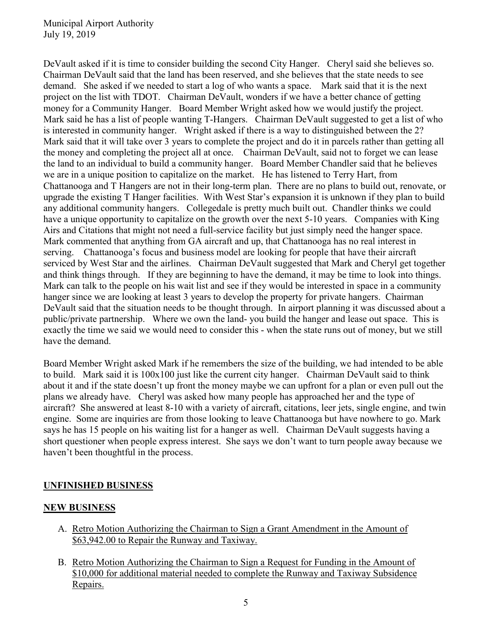DeVault asked if it is time to consider building the second City Hanger. Cheryl said she believes so. Chairman DeVault said that the land has been reserved, and she believes that the state needs to see demand. She asked if we needed to start a log of who wants a space. Mark said that it is the next project on the list with TDOT. Chairman DeVault, wonders if we have a better chance of getting money for a Community Hanger. Board Member Wright asked how we would justify the project. Mark said he has a list of people wanting T-Hangers. Chairman DeVault suggested to get a list of who is interested in community hanger. Wright asked if there is a way to distinguished between the 2? Mark said that it will take over 3 years to complete the project and do it in parcels rather than getting all the money and completing the project all at once. Chairman DeVault, said not to forget we can lease the land to an individual to build a community hanger. Board Member Chandler said that he believes we are in a unique position to capitalize on the market. He has listened to Terry Hart, from Chattanooga and T Hangers are not in their long-term plan. There are no plans to build out, renovate, or upgrade the existing T Hanger facilities. With West Star's expansion it is unknown if they plan to build any additional community hangers. Collegedale is pretty much built out. Chandler thinks we could have a unique opportunity to capitalize on the growth over the next 5-10 years. Companies with King Airs and Citations that might not need a full-service facility but just simply need the hanger space. Mark commented that anything from GA aircraft and up, that Chattanooga has no real interest in serving. Chattanooga's focus and business model are looking for people that have their aircraft serviced by West Star and the airlines. Chairman DeVault suggested that Mark and Cheryl get together and think things through. If they are beginning to have the demand, it may be time to look into things. Mark can talk to the people on his wait list and see if they would be interested in space in a community hanger since we are looking at least 3 years to develop the property for private hangers. Chairman DeVault said that the situation needs to be thought through. In airport planning it was discussed about a public/private partnership. Where we own the land- you build the hanger and lease out space. This is exactly the time we said we would need to consider this - when the state runs out of money, but we still have the demand.

Board Member Wright asked Mark if he remembers the size of the building, we had intended to be able to build. Mark said it is 100x100 just like the current city hanger. Chairman DeVault said to think about it and if the state doesn't up front the money maybe we can upfront for a plan or even pull out the plans we already have. Cheryl was asked how many people has approached her and the type of aircraft? She answered at least 8-10 with a variety of aircraft, citations, leer jets, single engine, and twin engine. Some are inquiries are from those looking to leave Chattanooga but have nowhere to go. Mark says he has 15 people on his waiting list for a hanger as well. Chairman DeVault suggests having a short questioner when people express interest. She says we don't want to turn people away because we haven't been thoughtful in the process.

## **UNFINISHED BUSINESS**

## **NEW BUSINESS**

- A. Retro Motion Authorizing the Chairman to Sign a Grant Amendment in the Amount of \$63,942.00 to Repair the Runway and Taxiway.
- B. Retro Motion Authorizing the Chairman to Sign a Request for Funding in the Amount of \$10,000 for additional material needed to complete the Runway and Taxiway Subsidence Repairs.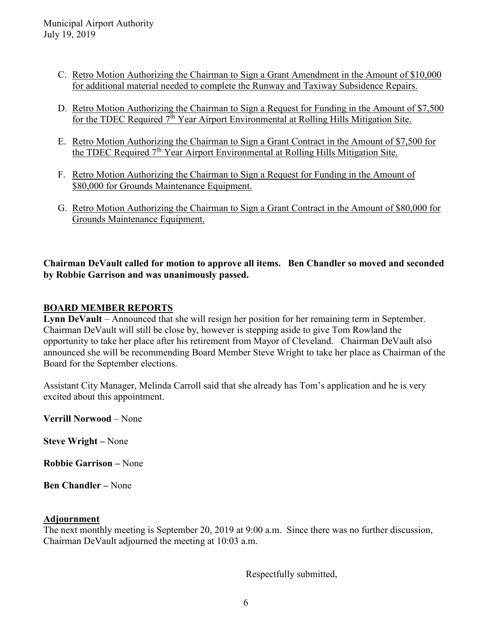- C. Retro Motion Authorizing the Chairman to Sign a Grant Amendment in the Amount of \$10,000 for additional material needed to complete the Runway and Taxiway Subsidence Repairs.
- D. Retro Motion Authorizing the Chairman to Sign a Request for Funding in the Amount of \$7,500 for the TDEC Required  $7<sup>th</sup>$  Year Airport Environmental at Rolling Hills Mitigation Site.
- E. Retro Motion Authorizing the Chairman to Sign a Grant Contract in the Amount of \$7,500 for the TDEC Required 7<sup>th</sup> Year Airport Environmental at Rolling Hills Mitigation Site.
- F. Retro Motion Authorizing the Chairman to Sign a Request for Funding in the Amount of \$80,000 for Grounds Maintenance Equipment.
- G. Retro Motion Authorizing the Chairman to Sign a Grant Contract in the Amount of \$80,000 for Grounds Maintenance Equipment.

# **Chairman DeVault called for motion to approve all items. Ben Chandler so moved and seconded by Robbie Garrison and was unanimously passed.**

# **BOARD MEMBER REPORTS**

**Lynn DeVault** – Announced that she will resign her position for her remaining term in September. Chairman DeVault will still be close by, however is stepping aside to give Tom Rowland the opportunity to take her place after his retirement from Mayor of Cleveland. Chairman DeVault also announced she will be recommending Board Member Steve Wright to take her place as Chairman of the Board for the September elections.

Assistant City Manager, Melinda Carroll said that she already has Tom's application and he is very excited about this appointment.

**Verrill Norwood** – None

**Steve Wright –** None

**Robbie Garrison –** None

**Ben Chandler –** None

#### **Adjournment**

The next monthly meeting is September 20, 2019 at 9:00 a.m. Since there was no further discussion, Chairman DeVault adjourned the meeting at 10:03 a.m.

Respectfully submitted,